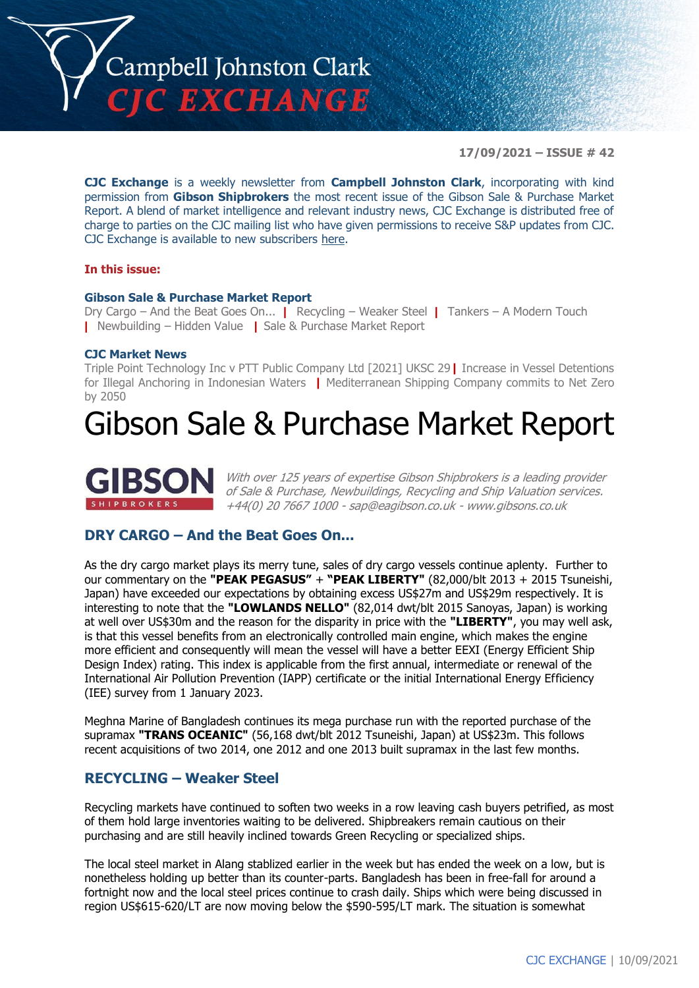

**17/09/2021 – ISSUE # 42**

**CJC Exchange** is a weekly newsletter from **Campbell Johnston Clark**, incorporating with kind permission from **Gibson Shipbrokers** the most recent issue of the Gibson Sale & Purchase Market Report. A blend of market intelligence and relevant industry news, CJC Exchange is distributed free of charge to parties on the CJC mailing list who have given permissions to receive S&P updates from CJC. CJC Exchange is available to new subscribers [here.](mailto:jamesc@cjclaw.com?subject=CJC%20Exchange%20sign-up)

#### **In this issue:**

#### **Gibson Sale & Purchase Market Report**

Dry Cargo – And the Beat Goes On... **|** Recycling – Weaker Steel **|** Tankers – A Modern Touch **|** Newbuilding – Hidden Value **|** Sale & Purchase Market Report

#### **CJC Market News**

Triple Point Technology Inc v PTT Public Company Ltd [2021] UKSC 29**|** Increase in Vessel Detentions for Illegal Anchoring in Indonesian Waters **|** Mediterranean Shipping Company commits to Net Zero by 2050

# Gibson Sale & Purchase Market Report



With over 125 years of expertise Gibson Shipbrokers is a leading provider of Sale & Purchase, Newbuildings, Recycling and Ship Valuation services. +44(0) 20 7667 1000 - [sap@eagibson.co.uk](mailto:sap@eagibson.co.uk) - [www.gibsons.co.uk](https://protect-eu.mimecast.com/s/VO6nCGZzRS60KqcK1jQh/)

## **DRY CARGO – And the Beat Goes On...**

As the dry cargo market plays its merry tune, sales of dry cargo vessels continue aplenty. Further to our commentary on the **"PEAK PEGASUS"** + **"PEAK LIBERTY"** (82,000/blt 2013 + 2015 Tsuneishi, Japan) have exceeded our expectations by obtaining excess US\$27m and US\$29m respectively. It is interesting to note that the **"LOWLANDS NELLO"** (82,014 dwt/blt 2015 Sanoyas, Japan) is working at well over US\$30m and the reason for the disparity in price with the **"LIBERTY"**, you may well ask, is that this vessel benefits from an electronically controlled main engine, which makes the engine more efficient and consequently will mean the vessel will have a better EEXI (Energy Efficient Ship Design Index) rating. This index is applicable from the first annual, intermediate or renewal of the International Air Pollution Prevention (IAPP) certificate or the initial International Energy Efficiency (IEE) survey from 1 January 2023.

Meghna Marine of Bangladesh continues its mega purchase run with the reported purchase of the supramax **"TRANS OCEANIC"** (56,168 dwt/blt 2012 Tsuneishi, Japan) at US\$23m. This follows recent acquisitions of two 2014, one 2012 and one 2013 built supramax in the last few months.

#### **RECYCLING – Weaker Steel**

Recycling markets have continued to soften two weeks in a row leaving cash buyers petrified, as most of them hold large inventories waiting to be delivered. Shipbreakers remain cautious on their purchasing and are still heavily inclined towards Green Recycling or specialized ships.

The local steel market in Alang stablized earlier in the week but has ended the week on a low, but is nonetheless holding up better than its counter-parts. Bangladesh has been in free-fall for around a fortnight now and the local steel prices continue to crash daily. Ships which were being discussed in region US\$615-620/LT are now moving below the \$590-595/LT mark. The situation is somewhat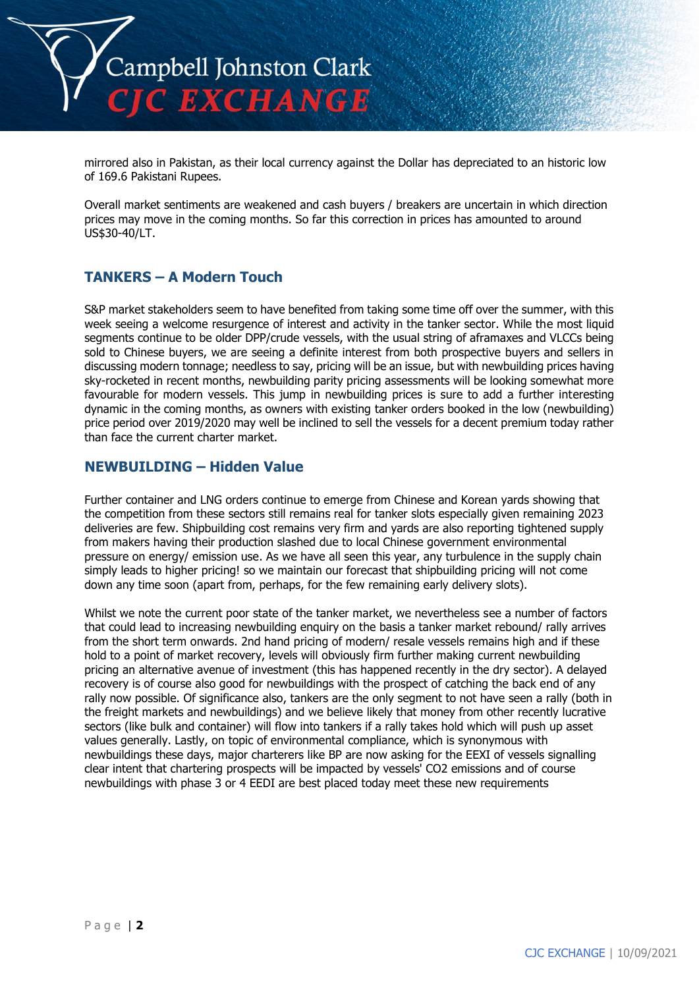

mirrored also in Pakistan, as their local currency against the Dollar has depreciated to an historic low of 169.6 Pakistani Rupees.

Overall market sentiments are weakened and cash buyers / breakers are uncertain in which direction prices may move in the coming months. So far this correction in prices has amounted to around US\$30-40/LT.

# **TANKERS – A Modern Touch**

S&P market stakeholders seem to have benefited from taking some time off over the summer, with this week seeing a welcome resurgence of interest and activity in the tanker sector. While the most liquid segments continue to be older DPP/crude vessels, with the usual string of aframaxes and VLCCs being sold to Chinese buyers, we are seeing a definite interest from both prospective buyers and sellers in discussing modern tonnage; needless to say, pricing will be an issue, but with newbuilding prices having sky-rocketed in recent months, newbuilding parity pricing assessments will be looking somewhat more favourable for modern vessels. This jump in newbuilding prices is sure to add a further interesting dynamic in the coming months, as owners with existing tanker orders booked in the low (newbuilding) price period over 2019/2020 may well be inclined to sell the vessels for a decent premium today rather than face the current charter market.

#### **NEWBUILDING – Hidden Value**

Further container and LNG orders continue to emerge from Chinese and Korean yards showing that the competition from these sectors still remains real for tanker slots especially given remaining 2023 deliveries are few. Shipbuilding cost remains very firm and yards are also reporting tightened supply from makers having their production slashed due to local Chinese government environmental pressure on energy/ emission use. As we have all seen this year, any turbulence in the supply chain simply leads to higher pricing! so we maintain our forecast that shipbuilding pricing will not come down any time soon (apart from, perhaps, for the few remaining early delivery slots).

Whilst we note the current poor state of the tanker market, we nevertheless see a number of factors that could lead to increasing newbuilding enquiry on the basis a tanker market rebound/ rally arrives from the short term onwards. 2nd hand pricing of modern/ resale vessels remains high and if these hold to a point of market recovery, levels will obviously firm further making current newbuilding pricing an alternative avenue of investment (this has happened recently in the dry sector). A delayed recovery is of course also good for newbuildings with the prospect of catching the back end of any rally now possible. Of significance also, tankers are the only segment to not have seen a rally (both in the freight markets and newbuildings) and we believe likely that money from other recently lucrative sectors (like bulk and container) will flow into tankers if a rally takes hold which will push up asset values generally. Lastly, on topic of environmental compliance, which is synonymous with newbuildings these days, major charterers like BP are now asking for the EEXI of vessels signalling clear intent that chartering prospects will be impacted by vessels' CO2 emissions and of course newbuildings with phase 3 or 4 EEDI are best placed today meet these new requirements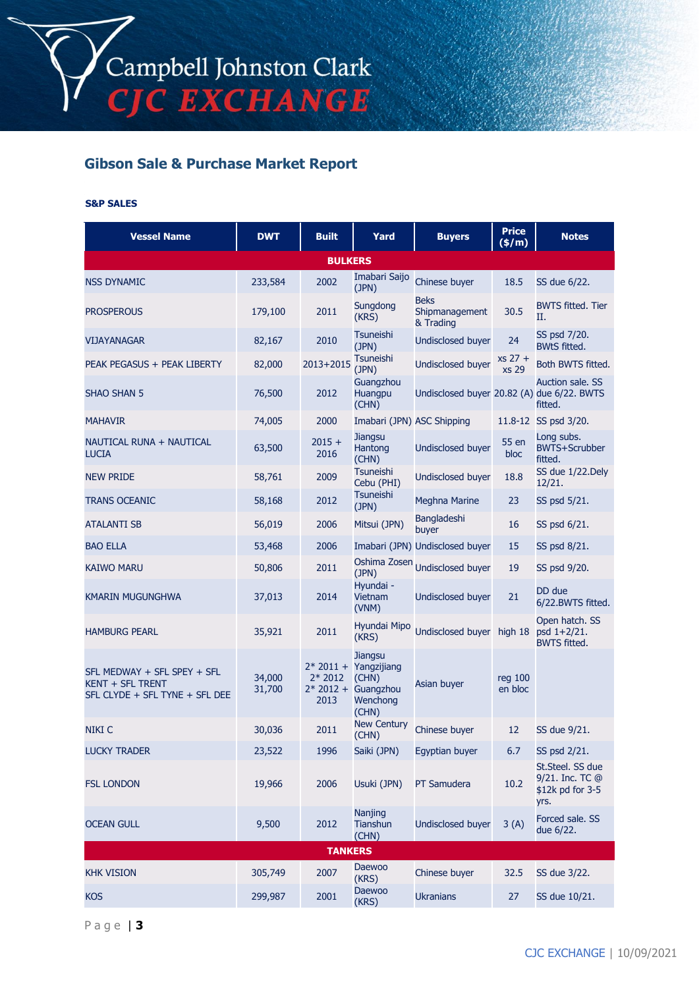# **Gibson Sale & Purchase Market Report**

#### **S&P SALES**

| <b>Vessel Name</b>                                                                | <b>DWT</b>       | <b>Built</b>     | Yard                                                                                           | <b>Buyers</b>                              | <b>Price</b><br>(\$/m) | <b>Notes</b>                                                    |  |
|-----------------------------------------------------------------------------------|------------------|------------------|------------------------------------------------------------------------------------------------|--------------------------------------------|------------------------|-----------------------------------------------------------------|--|
| <b>BULKERS</b>                                                                    |                  |                  |                                                                                                |                                            |                        |                                                                 |  |
| <b>NSS DYNAMIC</b>                                                                | 233,584          | 2002             | Imabari Saijo<br>(JPN)                                                                         | Chinese buyer                              | 18.5                   | SS due 6/22.                                                    |  |
| <b>PROSPEROUS</b>                                                                 | 179,100          | 2011             | Sungdong<br>(KRS)                                                                              | <b>Beks</b><br>Shipmanagement<br>& Trading | 30.5                   | <b>BWTS fitted. Tier</b><br>П.                                  |  |
| VIJAYANAGAR                                                                       | 82,167           | 2010             | <b>Tsuneishi</b><br>(JPN)                                                                      | <b>Undisclosed buyer</b>                   | 24                     | SS psd 7/20.<br><b>BWtS fitted.</b>                             |  |
| PEAK PEGASUS + PEAK LIBERTY                                                       | 82,000           | 2013+2015        | <b>Tsuneishi</b><br>(JPN)                                                                      | <b>Undisclosed buyer</b>                   | $xs 27 +$<br>xs 29     | Both BWTS fitted.                                               |  |
| <b>SHAO SHAN 5</b>                                                                | 76,500           | 2012             | Guangzhou<br>Huangpu<br>(CHN)                                                                  | Undisclosed buyer 20.82 (A) due 6/22. BWTS |                        | <b>Auction sale, SS</b><br>fitted.                              |  |
| <b>MAHAVIR</b>                                                                    | 74,005           | 2000             | Imabari (JPN) ASC Shipping                                                                     |                                            |                        | 11.8-12 SS psd 3/20.                                            |  |
| NAUTICAL RUNA + NAUTICAL<br><b>LUCIA</b>                                          | 63,500           | $2015 +$<br>2016 | <b>Jiangsu</b><br>Hantong<br>(CHN)                                                             | <b>Undisclosed buyer</b>                   | 55 en<br>bloc          | Long subs.<br><b>BWTS+Scrubber</b><br>fitted.                   |  |
| <b>NEW PRIDE</b>                                                                  | 58,761           | 2009             | <b>Tsuneishi</b><br>Cebu (PHI)                                                                 | <b>Undisclosed buyer</b>                   | 18.8                   | SS due 1/22. Dely<br>12/21.                                     |  |
| <b>TRANS OCEANIC</b>                                                              | 58,168           | 2012             | <b>Tsuneishi</b><br>(JPN)                                                                      | <b>Meghna Marine</b>                       | 23                     | SS psd 5/21.                                                    |  |
| <b>ATALANTI SB</b>                                                                | 56,019           | 2006             | Mitsui (JPN)                                                                                   | <b>Bangladeshi</b><br>buyer                | 16                     | SS psd 6/21.                                                    |  |
| <b>BAO ELLA</b>                                                                   | 53,468           | 2006             |                                                                                                | Imabari (JPN) Undisclosed buyer            | 15                     | SS psd 8/21.                                                    |  |
| KAIWO MARU                                                                        | 50,806           | 2011             | Oshima Zosen<br>(JPN)                                                                          | <b>Undisclosed buyer</b>                   | 19                     | SS psd 9/20.                                                    |  |
| <b>KMARIN MUGUNGHWA</b>                                                           | 37,013           | 2014             | Hyundai -<br>Vietnam<br>(VNM)                                                                  | <b>Undisclosed buyer</b>                   | 21                     | DD due<br>6/22.BWTS fitted.                                     |  |
| <b>HAMBURG PEARL</b>                                                              | 35,921           | 2011             | Hyundai Mipo<br>(KRS)                                                                          | Undisclosed buyer high 18                  |                        | Open hatch. SS<br>psd 1+2/21.<br><b>BWTS fitted.</b>            |  |
| SFL MEDWAY + SFL SPEY + SFL<br>KENT + SFL TRENT<br>SFL CLYDE + SFL TYNE + SFL DEE | 34,000<br>31,700 | $2*2012$<br>2013 | <b>Jiangsu</b><br>$2*2011 +$ Yangzijiang<br>(CHN)<br>$2*2012 +$ Guangzhou<br>Wenchong<br>(CHN) | Asian buyer                                | reg 100<br>en bloc     |                                                                 |  |
| <b>NIKI C</b>                                                                     | 30,036           | 2011             | <b>New Century</b><br>(CHN)                                                                    | Chinese buyer                              | $12 \overline{ }$      | SS due 9/21.                                                    |  |
| <b>LUCKY TRADER</b>                                                               | 23,522           | 1996             | Saiki (JPN)                                                                                    | Egyptian buyer                             | 6.7                    | SS psd 2/21.                                                    |  |
| <b>FSL LONDON</b>                                                                 | 19,966           | 2006             | Usuki (JPN)                                                                                    | PT Samudera                                | 10.2                   | St.Steel. SS due<br>9/21. Inc. TC @<br>\$12k pd for 3-5<br>yrs. |  |
| <b>OCEAN GULL</b>                                                                 | 9,500            | 2012             | Nanjing<br>Tianshun<br>(CHN)                                                                   | <b>Undisclosed buyer</b>                   | 3(A)                   | Forced sale, SS<br>due 6/22.                                    |  |
| <b>TANKERS</b>                                                                    |                  |                  |                                                                                                |                                            |                        |                                                                 |  |
| <b>KHK VISION</b>                                                                 | 305,749          | 2007             | Daewoo<br>(KRS)                                                                                | Chinese buyer                              | 32.5                   | SS due 3/22.                                                    |  |
| <b>KOS</b>                                                                        | 299,987          | 2001             | <b>Daewoo</b><br>(KRS)                                                                         | <b>Ukranians</b>                           | 27                     | SS due 10/21.                                                   |  |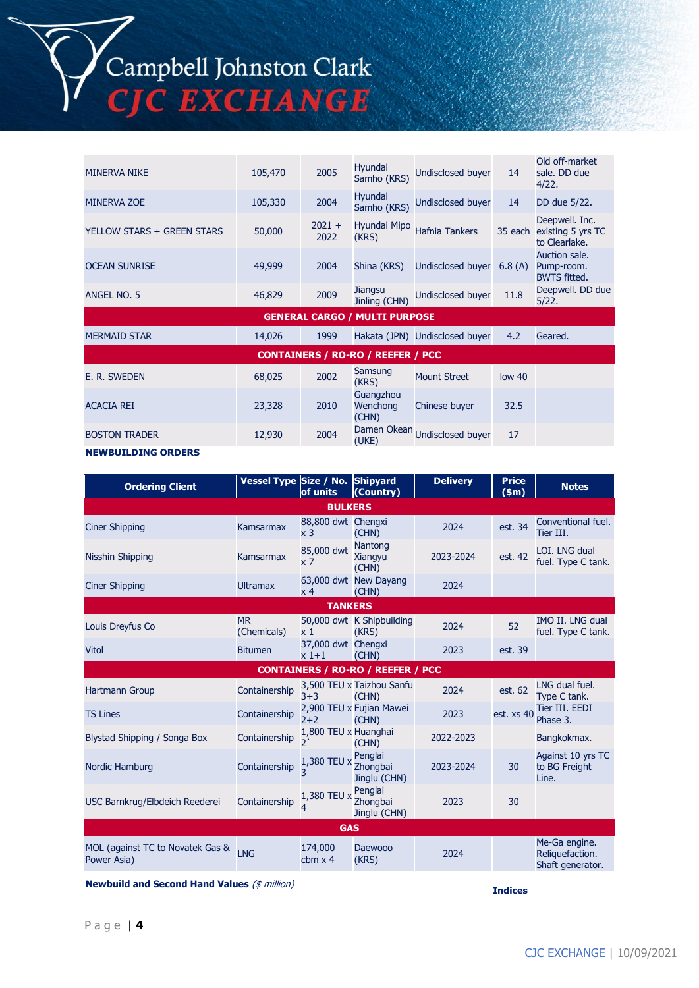# Campbell Johnston Clark<br>CJC EXCHANGE

| <b>MINERVA NIKE</b>                      | 105,470 | 2005             | Hyundai<br>Samho (KRS)         | Undisclosed buyer              | 14                | Old off-market<br>sale. DD due<br>4/22.              |  |
|------------------------------------------|---------|------------------|--------------------------------|--------------------------------|-------------------|------------------------------------------------------|--|
| <b>MINERVA ZOE</b>                       | 105,330 | 2004             | Hyundai<br>Samho (KRS)         | <b>Undisclosed buyer</b>       | 14                | DD due 5/22.                                         |  |
| YELLOW STARS + GREEN STARS               | 50,000  | $2021 +$<br>2022 | Hyundai Mipo<br>(KRS)          | <b>Hafnia Tankers</b>          | 35 each           | Deepwell. Inc.<br>existing 5 yrs TC<br>to Clearlake. |  |
| <b>OCEAN SUNRISE</b>                     | 49,999  | 2004             | Shina (KRS)                    | <b>Undisclosed buyer</b>       | 6.8(A)            | Auction sale.<br>Pump-room.<br><b>BWTS fitted.</b>   |  |
| ANGEL NO. 5                              | 46,829  | 2009             | Jiangsu<br>Jinling (CHN)       | Undisclosed buyer              | 11.8              | Deepwell. DD due<br>5/22.                            |  |
| <b>GENERAL CARGO / MULTI PURPOSE</b>     |         |                  |                                |                                |                   |                                                      |  |
| <b>MERMAID STAR</b>                      | 14,026  | 1999             |                                | Hakata (JPN) Undisclosed buyer | 4.2               | Geared.                                              |  |
| <b>CONTAINERS / RO-RO / REEFER / PCC</b> |         |                  |                                |                                |                   |                                                      |  |
| E. R. SWEDEN                             | 68,025  | 2002             | Samsung<br>(KRS)               | <b>Mount Street</b>            | low <sub>40</sub> |                                                      |  |
| <b>ACACIA REI</b>                        | 23,328  | 2010             | Guangzhou<br>Wenchong<br>(CHN) | Chinese buyer                  | 32.5              |                                                      |  |
| <b>BOSTON TRADER</b>                     | 12,930  | 2004             | (UKE)                          | Damen Okean Undisclosed buyer  | 17                |                                                      |  |

#### **NEWBUILDING ORDERS**

| <b>Ordering Client</b>                          | Vessel Type Size / No. Shipyard | of units                             | (Country)                                | <b>Delivery</b> | <b>Price</b><br>$(\$m)$ | <b>Notes</b>                                         |
|-------------------------------------------------|---------------------------------|--------------------------------------|------------------------------------------|-----------------|-------------------------|------------------------------------------------------|
|                                                 |                                 | <b>BULKERS</b>                       |                                          |                 |                         |                                                      |
| <b>Ciner Shipping</b>                           | Kamsarmax                       | 88,800 dwt Chengxi<br>x <sub>3</sub> | (CHN)                                    | 2024            | est. 34                 | Conventional fuel.<br>Tier III.                      |
| <b>Nisshin Shipping</b>                         | Kamsarmax                       | 85,000 dwt<br>x 7                    | Nantong<br>Xiangyu<br>(CHN)              | 2023-2024       | est. 42                 | LOI. LNG dual<br>fuel. Type C tank.                  |
| <b>Ciner Shipping</b>                           | <b>Ultramax</b>                 | x 4                                  | 63,000 dwt New Dayang<br>(CHN)           | 2024            |                         |                                                      |
|                                                 |                                 | <b>TANKERS</b>                       |                                          |                 |                         |                                                      |
| Louis Dreyfus Co                                | <b>MR</b><br>(Chemicals)        | x 1                                  | 50,000 dwt K Shipbuilding<br>(KRS)       | 2024            | 52                      | IMO II. LNG dual<br>fuel. Type C tank.               |
| <b>Vitol</b>                                    | <b>Bitumen</b>                  | 37,000 dwt Chengxi<br>$x1+1$         | (CHN)                                    | 2023            | est. 39                 |                                                      |
|                                                 |                                 |                                      | <b>CONTAINERS / RO-RO / REEFER / PCC</b> |                 |                         |                                                      |
| <b>Hartmann Group</b>                           | Containership                   | $3 + 3$                              | 3,500 TEU x Taizhou Sanfu<br>(CHN)       | 2024            | est. 62                 | LNG dual fuel.<br>Type C tank.                       |
| <b>TS Lines</b>                                 | Containership                   | $2 + 2$                              | 2,900 TEU x Fujian Mawei<br>(CHN)        | 2023            | est. xs 40              | Tier III. EEDI<br>Phase 3.                           |
| Blystad Shipping / Songa Box                    | Containership                   | 1,800 TEU x Huanghai<br>っ、           | (CHN)                                    | 2022-2023       |                         | Bangkokmax.                                          |
| Nordic Hamburg                                  | Containership                   | 1,380 TEU x<br>3                     | Penglai<br>Zhongbai<br>Jinglu (CHN)      | 2023-2024       | 30                      | Against 10 yrs TC<br>to BG Freight<br>Line.          |
| USC Barnkrug/Elbdeich Reederei                  | Containership                   | 1,380 TEU x                          | Penglai<br>Zhongbai<br>Jinglu (CHN)      | 2023            | 30                      |                                                      |
| <b>GAS</b>                                      |                                 |                                      |                                          |                 |                         |                                                      |
| MOL (against TC to Novatek Gas &<br>Power Asia) | <b>LNG</b>                      | 174,000<br>cbm $\times$ 4            | <b>Daewooo</b><br>(KRS)                  | 2024            |                         | Me-Ga engine.<br>Reliquefaction.<br>Shaft generator. |

**Newbuild and Second Hand Values** (\$ million)

**Indices**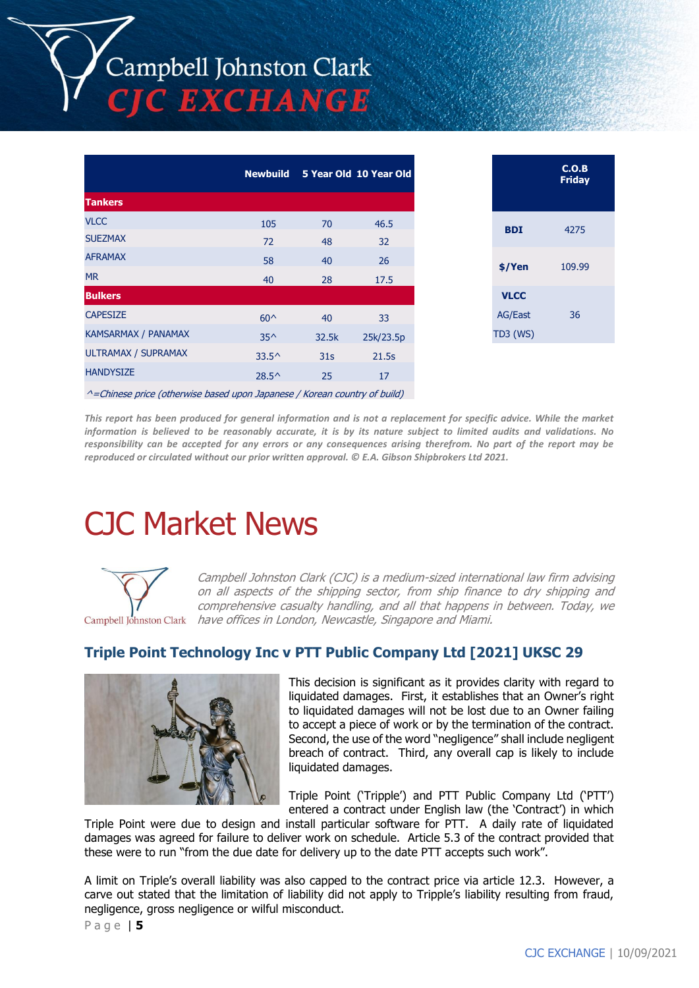|                            | <b>Newbuild</b> |                 | 5 Year Old 10 Year Old |
|----------------------------|-----------------|-----------------|------------------------|
| <b>Tankers</b>             |                 |                 |                        |
| <b>VLCC</b>                | 105             | 70              | 46.5                   |
| <b>SUEZMAX</b>             | 72              | 48              | 32                     |
| <b>AFRAMAX</b>             | 58              | 40              | 26                     |
| <b>MR</b>                  | 40              | 28              | 17.5                   |
| <b>Bulkers</b>             |                 |                 |                        |
| <b>CAPESIZE</b>            | $60^{\circ}$    | 40              | 33                     |
| <b>KAMSARMAX / PANAMAX</b> | $35^{\wedge}$   | 32.5k           | 25k/23.5p              |
| ULTRAMAX / SUPRAMAX        | $33.5^{\circ}$  | 31 <sub>s</sub> | 21.5s                  |
| <b>HANDYSIZE</b>           | $28.5^{\circ}$  | 25              | 17                     |
|                            |                 |                 |                        |

|                | C.O.B<br><b>Friday</b> |
|----------------|------------------------|
| <b>BDI</b>     | 4275                   |
| \$/Yen         | 109.99                 |
| <b>VLCC</b>    |                        |
| <b>AG/East</b> | 36                     |
| TD3 (WS)       |                        |

 $\land$  =Chinese price (otherwise based upon Japanese / Korean country of build)

*This report has been produced for general information and is not a replacement for specific advice. While the market information is believed to be reasonably accurate, it is by its nature subject to limited audits and validations. No responsibility can be accepted for any errors or any consequences arising therefrom. No part of the report may be reproduced or circulated without our prior written approval. © E.A. Gibson Shipbrokers Ltd 2021.*

# CJC Market News



Campbell Johnston Clark (CJC) is a medium-sized international law firm advising on all aspects of the shipping sector, from ship finance to dry shipping and comprehensive casualty handling, and all that happens in between. Today, we Campbell Johnston Clark have offices in London, Newcastle, Singapore and Miami.

## **Triple Point Technology Inc v PTT Public Company Ltd [2021] UKSC 29**



This decision is significant as it provides clarity with regard to liquidated damages. First, it establishes that an Owner's right to liquidated damages will not be lost due to an Owner failing to accept a piece of work or by the termination of the contract. Second, the use of the word "negligence" shall include negligent breach of contract. Third, any overall cap is likely to include liquidated damages.

Triple Point ('Tripple') and PTT Public Company Ltd ('PTT') entered a contract under English law (the 'Contract') in which

Triple Point were due to design and install particular software for PTT. A daily rate of liquidated damages was agreed for failure to deliver work on schedule. Article 5.3 of the contract provided that these were to run "from the due date for delivery up to the date PTT accepts such work".

A limit on Triple's overall liability was also capped to the contract price via article 12.3. However, a carve out stated that the limitation of liability did not apply to Tripple's liability resulting from fraud, negligence, gross negligence or wilful misconduct.

P a g e | **5**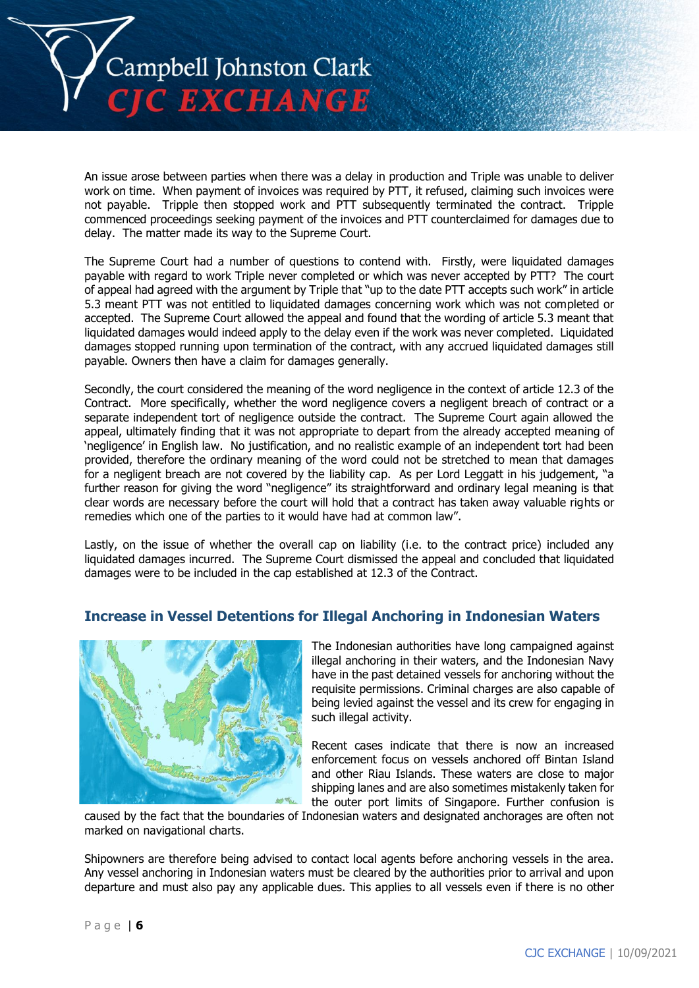

An issue arose between parties when there was a delay in production and Triple was unable to deliver work on time. When payment of invoices was required by PTT, it refused, claiming such invoices were not payable. Tripple then stopped work and PTT subsequently terminated the contract. Tripple commenced proceedings seeking payment of the invoices and PTT counterclaimed for damages due to delay. The matter made its way to the Supreme Court.

The Supreme Court had a number of questions to contend with. Firstly, were liquidated damages payable with regard to work Triple never completed or which was never accepted by PTT? The court of appeal had agreed with the argument by Triple that "up to the date PTT accepts such work" in article 5.3 meant PTT was not entitled to liquidated damages concerning work which was not completed or accepted. The Supreme Court allowed the appeal and found that the wording of article 5.3 meant that liquidated damages would indeed apply to the delay even if the work was never completed. Liquidated damages stopped running upon termination of the contract, with any accrued liquidated damages still payable. Owners then have a claim for damages generally.

Secondly, the court considered the meaning of the word negligence in the context of article 12.3 of the Contract. More specifically, whether the word negligence covers a negligent breach of contract or a separate independent tort of negligence outside the contract. The Supreme Court again allowed the appeal, ultimately finding that it was not appropriate to depart from the already accepted meaning of 'negligence' in English law. No justification, and no realistic example of an independent tort had been provided, therefore the ordinary meaning of the word could not be stretched to mean that damages for a negligent breach are not covered by the liability cap. As per Lord Leggatt in his judgement, "a further reason for giving the word "negligence" its straightforward and ordinary legal meaning is that clear words are necessary before the court will hold that a contract has taken away valuable rights or remedies which one of the parties to it would have had at common law".

Lastly, on the issue of whether the overall cap on liability (i.e. to the contract price) included any liquidated damages incurred. The Supreme Court dismissed the appeal and concluded that liquidated damages were to be included in the cap established at 12.3 of the Contract.

## **Increase in Vessel Detentions for Illegal Anchoring in Indonesian Waters**



The Indonesian authorities have long campaigned against illegal anchoring in their waters, and the Indonesian Navy have in the past detained vessels for anchoring without the requisite permissions. Criminal charges are also capable of being levied against the vessel and its crew for engaging in such illegal activity.

Recent cases indicate that there is now an increased enforcement focus on vessels anchored off Bintan Island and other Riau Islands. These waters are close to major shipping lanes and are also sometimes mistakenly taken for the outer port limits of Singapore. Further confusion is

caused by the fact that the boundaries of Indonesian waters and designated anchorages are often not marked on navigational charts.

Shipowners are therefore being advised to contact local agents before anchoring vessels in the area. Any vessel anchoring in Indonesian waters must be cleared by the authorities prior to arrival and upon departure and must also pay any applicable dues. This applies to all vessels even if there is no other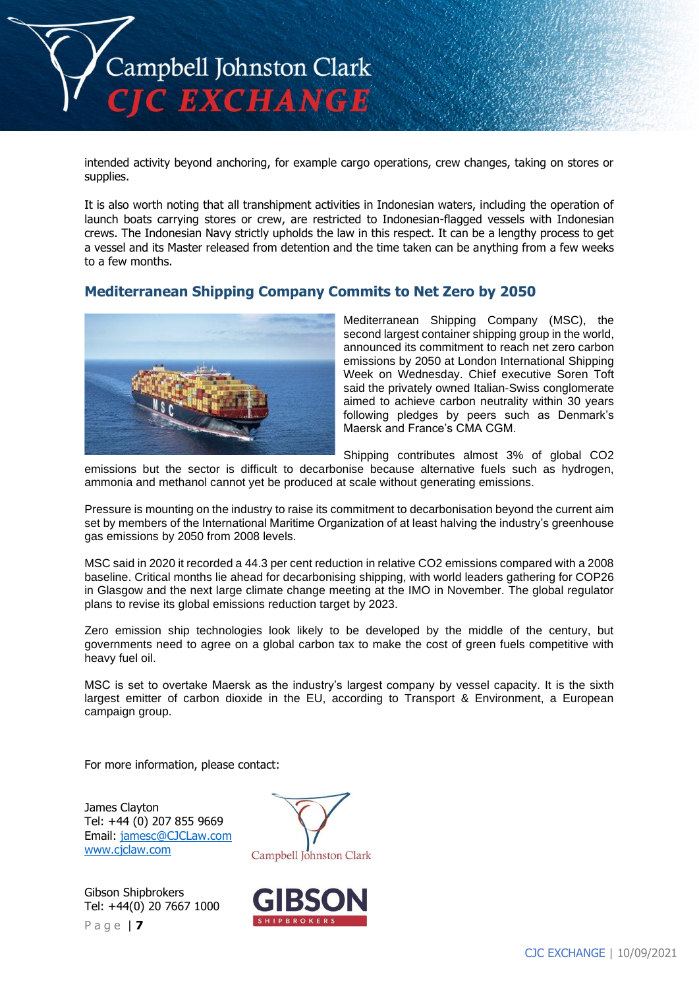

intended activity beyond anchoring, for example cargo operations, crew changes, taking on stores or supplies.

It is also worth noting that all transhipment activities in Indonesian waters, including the operation of launch boats carrying stores or crew, are restricted to Indonesian-flagged vessels with Indonesian crews. The Indonesian Navy strictly upholds the law in this respect. It can be a lengthy process to get a vessel and its Master released from detention and the time taken can be anything from a few weeks to a few months.

# **Mediterranean Shipping Company Commits to Net Zero by 2050**



Mediterranean Shipping Company (MSC), the second largest container shipping group in the world, announced its commitment to reach net zero carbon emissions by 2050 at London International Shipping Week on Wednesday. Chief executive Soren Toft said the privately owned Italian-Swiss conglomerate aimed to achieve carbon neutrality within 30 years following pledges by peers such as Denmark's Maersk and France's CMA CGM.

Shipping contributes almost 3% of global CO2

emissions but the sector is difficult to decarbonise because alternative fuels such as hydrogen, ammonia and methanol cannot yet be produced at scale without generating emissions.

Pressure is mounting on the industry to raise its commitment to decarbonisation beyond the current aim set by members of the International Maritime Organization of at least halving the industry's greenhouse gas emissions by 2050 from 2008 levels.

MSC said in 2020 it recorded a 44.3 per cent reduction in relative CO2 emissions compared with a 2008 baseline. Critical months lie ahead for decarbonising shipping, with world leaders gathering for COP26 in Glasgow and the next large climate change meeting at the IMO in November. The global regulator plans to revise its global emissions reduction target by 2023.

Zero emission ship technologies look likely to be developed by the middle of the century, but governments need to agree on a global carbon tax to make the cost of green fuels competitive with heavy fuel oil.

MSC is set to overtake Maersk as the industry's largest company by vessel capacity. It is the sixth largest emitter of carbon dioxide in the EU, according to Transport & Environment, a European campaign group.

For more information, please contact:

James Clayton Tel: +44 (0) 207 855 9669 Email: [jamesc@CJCLaw.com](mailto:jamesc@CJCLaw.com) [www.cjclaw.com](http://www.cjclaw.com/)

P a g e | **7** Gibson Shipbrokers Tel: +44(0) 20 7667 1000